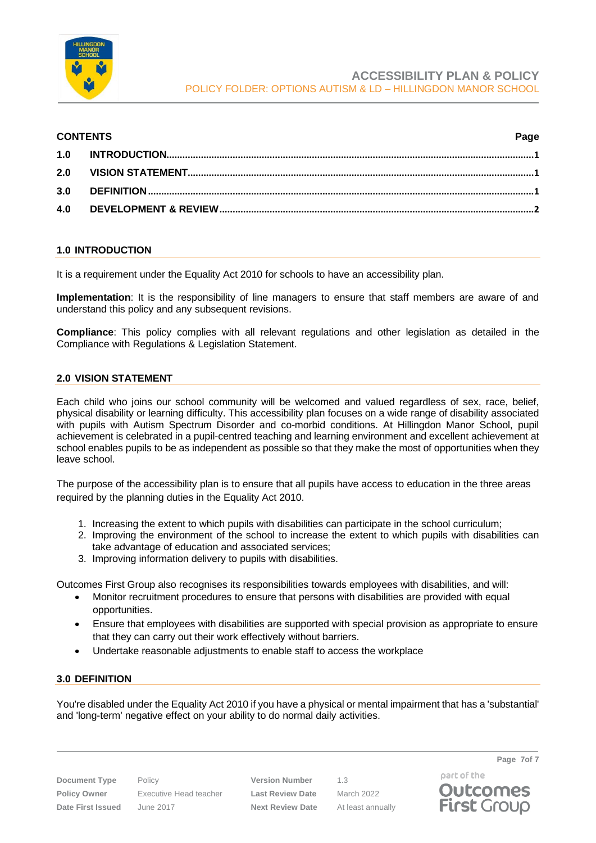

#### **CONTENTS Page**

### <span id="page-0-0"></span>**1.0 INTRODUCTION**

It is a requirement under the Equality Act 2010 for schools to have an accessibility plan.

**Implementation**: It is the responsibility of line managers to ensure that staff members are aware of and understand this policy and any subsequent revisions.

**Compliance**: This policy complies with all relevant regulations and other legislation as detailed in the Compliance with Regulations & Legislation Statement.

#### <span id="page-0-1"></span>**2.0 VISION STATEMENT**

Each child who joins our school community will be welcomed and valued regardless of sex, race, belief, physical disability or learning difficulty. This accessibility plan focuses on a wide range of disability associated with pupils with Autism Spectrum Disorder and co-morbid conditions. At Hillingdon Manor School, pupil achievement is celebrated in a pupil-centred teaching and learning environment and excellent achievement at school enables pupils to be as independent as possible so that they make the most of opportunities when they leave school.

The purpose of the accessibility plan is to ensure that all pupils have access to education in the three areas required by the planning duties in the Equality Act 2010.

- 1. Increasing the extent to which pupils with disabilities can participate in the school curriculum;
- 2. Improving the environment of the school to increase the extent to which pupils with disabilities can take advantage of education and associated services;
- 3. Improving information delivery to pupils with disabilities.

Outcomes First Group also recognises its responsibilities towards employees with disabilities, and will:

- Monitor recruitment procedures to ensure that persons with disabilities are provided with equal opportunities.
- Ensure that employees with disabilities are supported with special provision as appropriate to ensure that they can carry out their work effectively without barriers.
- Undertake reasonable adjustments to enable staff to access the workplace

#### <span id="page-0-2"></span>**3.0 DEFINITION**

You're disabled under the Equality Act 2010 if you have a physical or mental impairment that has a 'substantial' and 'long-term' negative effect on your ability to do normal daily activities.

**Document Type** Policy **Version Number** 1.3 **Policy Owner** Executive Head teacher **Last Review Date** March 2022 **Date First Issued** June 2017 **Next Review Date** At least annually

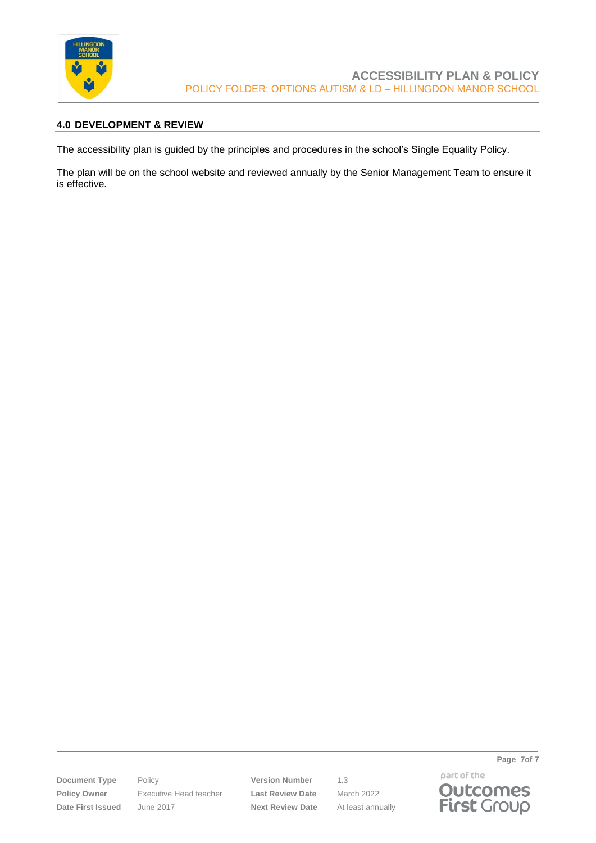

### <span id="page-1-0"></span>**4.0 DEVELOPMENT & REVIEW**

The accessibility plan is guided by the principles and procedures in the school's Single Equality Policy.

The plan will be on the school website and reviewed annually by the Senior Management Team to ensure it is effective.

**Document Type** Policy **Version Number** 1.3 **Policy Owner** Executive Head teacher **Last Review Date** March 2022 **Date First Issued** June 2017 **Next Review Date** At least annually

part of the **Outcomes**<br>**First** Group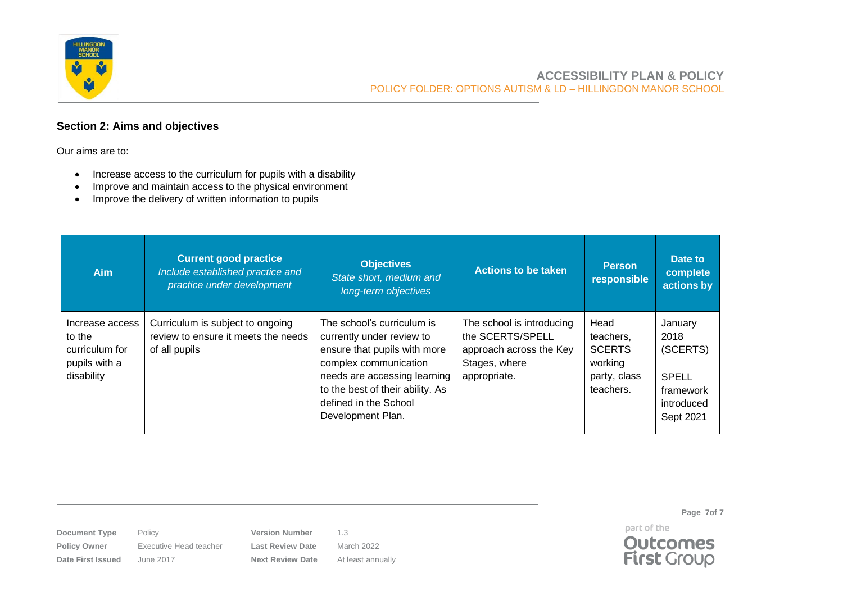

## **Section 2: Aims and objectives**

Our aims are to:

- Increase access to the curriculum for pupils with a disability
- Improve and maintain access to the physical environment
- Improve the delivery of written information to pupils

| <b>Aim</b>                                                                 | <b>Current good practice</b><br>Include established practice and<br>practice under development | <b>Objectives</b><br>State short, medium and<br>long-term objectives                                                                                                                                                               | <b>Actions to be taken</b>                                                                                | <b>Person</b><br>responsible                                               | Date to<br>complete<br>actions by                                            |
|----------------------------------------------------------------------------|------------------------------------------------------------------------------------------------|------------------------------------------------------------------------------------------------------------------------------------------------------------------------------------------------------------------------------------|-----------------------------------------------------------------------------------------------------------|----------------------------------------------------------------------------|------------------------------------------------------------------------------|
| Increase access<br>to the<br>curriculum for<br>pupils with a<br>disability | Curriculum is subject to ongoing<br>review to ensure it meets the needs<br>of all pupils       | The school's curriculum is<br>currently under review to<br>ensure that pupils with more<br>complex communication<br>needs are accessing learning<br>to the best of their ability. As<br>defined in the School<br>Development Plan. | The school is introducing<br>the SCERTS/SPELL<br>approach across the Key<br>Stages, where<br>appropriate. | Head<br>teachers,<br><b>SCERTS</b><br>working<br>party, class<br>teachers. | January<br>2018<br>(SCERTS)<br>SPELL<br>framework<br>introduced<br>Sept 2021 |

**Document Type** Policy **Version Number** 1.3

**Policy Owner** Executive Head teacher **Last Review Date** March 2022 **Date First Issued** June 2017 **Next Review Date** At least annually

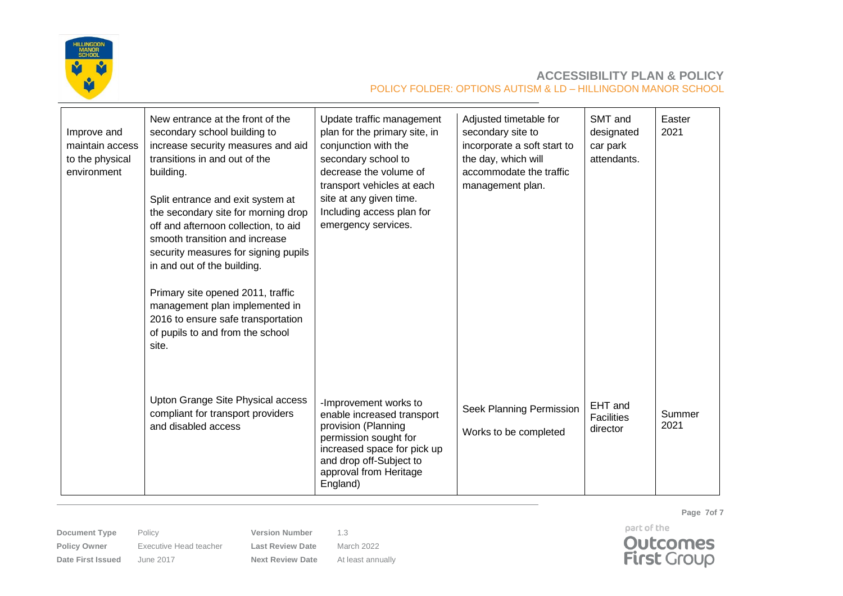

| Improve and<br>maintain access<br>to the physical<br>environment | New entrance at the front of the<br>secondary school building to<br>increase security measures and aid<br>transitions in and out of the<br>building.<br>Split entrance and exit system at<br>the secondary site for morning drop<br>off and afternoon collection, to aid<br>smooth transition and increase<br>security measures for signing pupils<br>in and out of the building.<br>Primary site opened 2011, traffic<br>management plan implemented in<br>2016 to ensure safe transportation<br>of pupils to and from the school<br>site. | Update traffic management<br>plan for the primary site, in<br>conjunction with the<br>secondary school to<br>decrease the volume of<br>transport vehicles at each<br>site at any given time.<br>Including access plan for<br>emergency services. | Adjusted timetable for<br>secondary site to<br>incorporate a soft start to<br>the day, which will<br>accommodate the traffic<br>management plan. | SMT and<br>designated<br>car park<br>attendants. | Easter<br>2021 |
|------------------------------------------------------------------|---------------------------------------------------------------------------------------------------------------------------------------------------------------------------------------------------------------------------------------------------------------------------------------------------------------------------------------------------------------------------------------------------------------------------------------------------------------------------------------------------------------------------------------------|--------------------------------------------------------------------------------------------------------------------------------------------------------------------------------------------------------------------------------------------------|--------------------------------------------------------------------------------------------------------------------------------------------------|--------------------------------------------------|----------------|
|                                                                  | Upton Grange Site Physical access<br>compliant for transport providers<br>and disabled access                                                                                                                                                                                                                                                                                                                                                                                                                                               | -Improvement works to<br>enable increased transport<br>provision (Planning<br>permission sought for<br>increased space for pick up<br>and drop off-Subject to<br>approval from Heritage<br>England)                                              | Seek Planning Permission<br>Works to be completed                                                                                                | EHT and<br><b>Facilities</b><br>director         | Summer<br>2021 |

**Document Type** Policy **Version Number** 1.3 **Policy Owner** Executive Head teacher **Last Review Date** March 2022

**Date First Issued** June 2017 **Next Review Date** At least annually

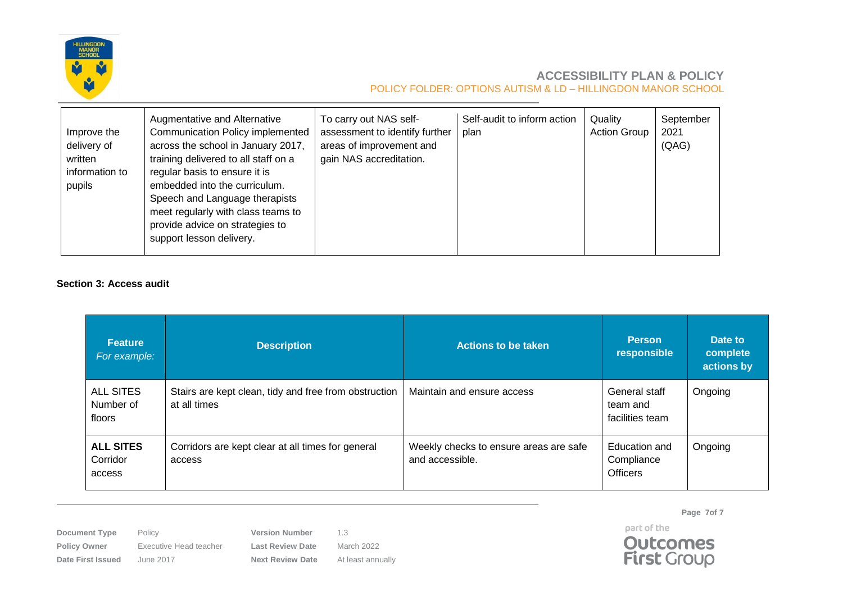

| Improve the<br>delivery of<br>written<br>information to<br>pupils | Augmentative and Alternative<br><b>Communication Policy implemented</b><br>across the school in January 2017,<br>training delivered to all staff on a<br>regular basis to ensure it is<br>embedded into the curriculum.<br>Speech and Language therapists<br>meet regularly with class teams to<br>provide advice on strategies to<br>support lesson delivery. | To carry out NAS self-<br>assessment to identify further<br>areas of improvement and<br>gain NAS accreditation. | Self-audit to inform action<br>plan | Quality<br><b>Action Group</b> | September<br>2021<br>(QAG) |
|-------------------------------------------------------------------|----------------------------------------------------------------------------------------------------------------------------------------------------------------------------------------------------------------------------------------------------------------------------------------------------------------------------------------------------------------|-----------------------------------------------------------------------------------------------------------------|-------------------------------------|--------------------------------|----------------------------|
|-------------------------------------------------------------------|----------------------------------------------------------------------------------------------------------------------------------------------------------------------------------------------------------------------------------------------------------------------------------------------------------------------------------------------------------------|-----------------------------------------------------------------------------------------------------------------|-------------------------------------|--------------------------------|----------------------------|

### **Section 3: Access audit**

| <b>Feature</b><br>For example:          | <b>Description</b>                                                    | <b>Actions to be taken</b>                                | <b>Person</b><br>responsible                   | Date to<br>complete<br>actions by |
|-----------------------------------------|-----------------------------------------------------------------------|-----------------------------------------------------------|------------------------------------------------|-----------------------------------|
| <b>ALL SITES</b><br>Number of<br>floors | Stairs are kept clean, tidy and free from obstruction<br>at all times | Maintain and ensure access                                | General staff<br>team and<br>facilities team   | Ongoing                           |
| <b>ALL SITES</b><br>Corridor<br>access  | Corridors are kept clear at all times for general<br>access           | Weekly checks to ensure areas are safe<br>and accessible. | Education and<br>Compliance<br><b>Officers</b> | Ongoing                           |

**Document Type** Policy **Version Number** 1.3 **Policy Owner** Executive Head teacher **Last Review Date** March 2022

**Date First Issued** June 2017 **Next Review Date** At least annually

**Page 7of 7** part of the

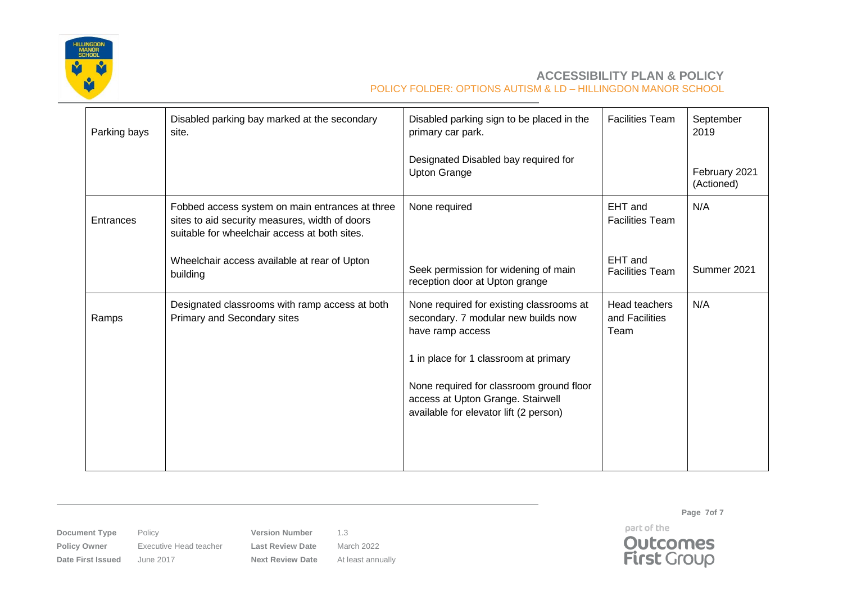

| Parking bays | Disabled parking bay marked at the secondary<br>site.                                                                                              | Disabled parking sign to be placed in the<br>primary car park.                                                          | <b>Facilities Team</b>                  | September<br>2019           |
|--------------|----------------------------------------------------------------------------------------------------------------------------------------------------|-------------------------------------------------------------------------------------------------------------------------|-----------------------------------------|-----------------------------|
|              |                                                                                                                                                    | Designated Disabled bay required for<br><b>Upton Grange</b>                                                             |                                         | February 2021<br>(Actioned) |
| Entrances    | Fobbed access system on main entrances at three<br>sites to aid security measures, width of doors<br>suitable for wheelchair access at both sites. | None required                                                                                                           | EHT and<br><b>Facilities Team</b>       | N/A                         |
|              | Wheelchair access available at rear of Upton<br>building                                                                                           | Seek permission for widening of main<br>reception door at Upton grange                                                  | EHT and<br><b>Facilities Team</b>       | Summer 2021                 |
| Ramps        | Designated classrooms with ramp access at both<br>Primary and Secondary sites                                                                      | None required for existing classrooms at<br>secondary. 7 modular new builds now<br>have ramp access                     | Head teachers<br>and Facilities<br>Team | N/A                         |
|              |                                                                                                                                                    | 1 in place for 1 classroom at primary                                                                                   |                                         |                             |
|              |                                                                                                                                                    | None required for classroom ground floor<br>access at Upton Grange. Stairwell<br>available for elevator lift (2 person) |                                         |                             |
|              |                                                                                                                                                    |                                                                                                                         |                                         |                             |

**Document Type** Policy **Version Number** 1.3 **Policy Owner** Executive Head teacher **Last Review Date** March 2022

**Date First Issued** June 2017 **Next Review Date** At least annually